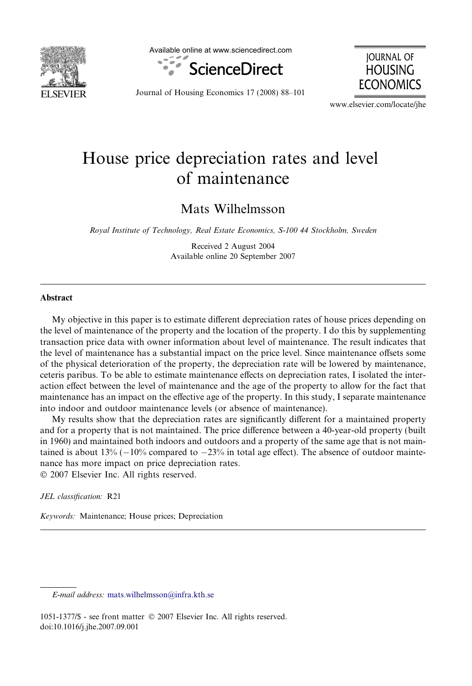

Available online at www.sciencedirect.com



JOURNAL OF **HOUSING ECONOMICS** 

Journal of Housing Economics 17 (2008) 88–101

www.elsevier.com/locate/jhe

## House price depreciation rates and level of maintenance

Mats Wilhelmsson

Royal Institute of Technology, Real Estate Economics, S-100 44 Stockholm, Sweden

Received 2 August 2004 Available online 20 September 2007

### Abstract

My objective in this paper is to estimate different depreciation rates of house prices depending on the level of maintenance of the property and the location of the property. I do this by supplementing transaction price data with owner information about level of maintenance. The result indicates that the level of maintenance has a substantial impact on the price level. Since maintenance offsets some of the physical deterioration of the property, the depreciation rate will be lowered by maintenance, ceteris paribus. To be able to estimate maintenance effects on depreciation rates, I isolated the interaction effect between the level of maintenance and the age of the property to allow for the fact that maintenance has an impact on the effective age of the property. In this study, I separate maintenance into indoor and outdoor maintenance levels (or absence of maintenance).

My results show that the depreciation rates are significantly different for a maintained property and for a property that is not maintained. The price difference between a 40-year-old property (built in 1960) and maintained both indoors and outdoors and a property of the same age that is not maintained is about  $13\%$  ( $-10\%$  compared to  $-23\%$  in total age effect). The absence of outdoor maintenance has more impact on price depreciation rates.

© 2007 Elsevier Inc. All rights reserved.

JEL classification: R21

Keywords: Maintenance; House prices; Depreciation

1051-1377/\$ - see front matter © 2007 Elsevier Inc. All rights reserved. doi:10.1016/j.jhe.2007.09.001

E-mail address: [mats.wilhelmsson@infra.kth.se](mailto:mats.wilhelmsson@infra.kth.se)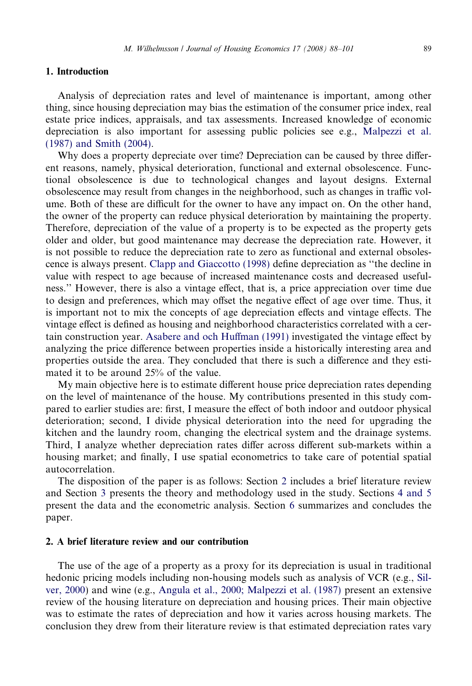#### 1. Introduction

Analysis of depreciation rates and level of maintenance is important, among other thing, since housing depreciation may bias the estimation of the consumer price index, real estate price indices, appraisals, and tax assessments. Increased knowledge of economic depreciation is also important for assessing public policies see e.g., [Malpezzi et al.](#page--1-0) [\(1987\) and Smith \(2004\).](#page--1-0)

Why does a property depreciate over time? Depreciation can be caused by three different reasons, namely, physical deterioration, functional and external obsolescence. Functional obsolescence is due to technological changes and layout designs. External obsolescence may result from changes in the neighborhood, such as changes in traffic volume. Both of these are difficult for the owner to have any impact on. On the other hand, the owner of the property can reduce physical deterioration by maintaining the property. Therefore, depreciation of the value of a property is to be expected as the property gets older and older, but good maintenance may decrease the depreciation rate. However, it is not possible to reduce the depreciation rate to zero as functional and external obsolescence is always present. [Clapp and Giaccotto \(1998\)](#page--1-0) define depreciation as ''the decline in value with respect to age because of increased maintenance costs and decreased usefulness.'' However, there is also a vintage effect, that is, a price appreciation over time due to design and preferences, which may offset the negative effect of age over time. Thus, it is important not to mix the concepts of age depreciation effects and vintage effects. The vintage effect is defined as housing and neighborhood characteristics correlated with a certain construction year. [Asabere and och Huffman \(1991\)](#page--1-0) investigated the vintage effect by analyzing the price difference between properties inside a historically interesting area and properties outside the area. They concluded that there is such a difference and they estimated it to be around 25% of the value.

My main objective here is to estimate different house price depreciation rates depending on the level of maintenance of the house. My contributions presented in this study compared to earlier studies are: first, I measure the effect of both indoor and outdoor physical deterioration; second, I divide physical deterioration into the need for upgrading the kitchen and the laundry room, changing the electrical system and the drainage systems. Third, I analyze whether depreciation rates differ across different sub-markets within a housing market; and finally, I use spatial econometrics to take care of potential spatial autocorrelation.

The disposition of the paper is as follows: Section 2 includes a brief literature review and Section [3](#page--1-0) presents the theory and methodology used in the study. Sections [4 and 5](#page--1-0) present the data and the econometric analysis. Section [6](#page--1-0) summarizes and concludes the paper.

#### 2. A brief literature review and our contribution

The use of the age of a property as a proxy for its depreciation is usual in traditional hedonic pricing models including non-housing models such as analysis of VCR (e.g., [Sil](#page--1-0)[ver, 2000](#page--1-0)) and wine (e.g., [Angula et al., 2000; Malpezzi et al. \(1987\)](#page--1-0) present an extensive review of the housing literature on depreciation and housing prices. Their main objective was to estimate the rates of depreciation and how it varies across housing markets. The conclusion they drew from their literature review is that estimated depreciation rates vary